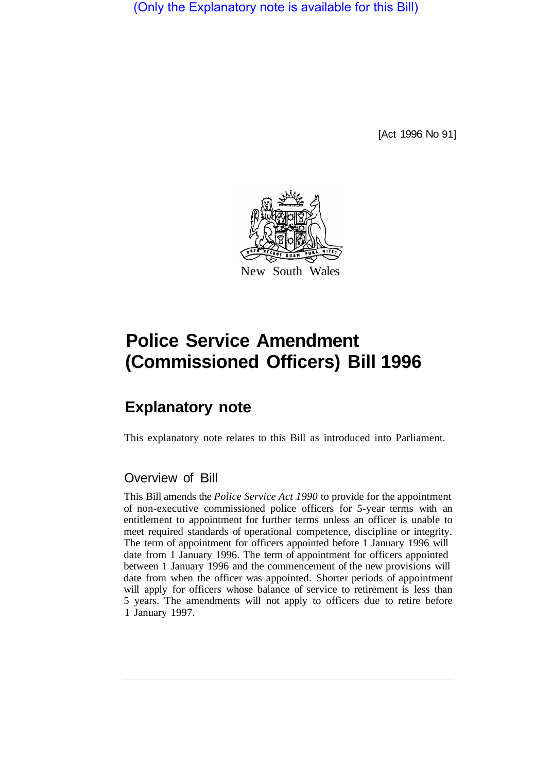(Only the Explanatory note is available for this Bill)

[Act 1996 No 91]



# **Police Service Amendment (Commissioned Officers) Bill 1996**

## **Explanatory note**

This explanatory note relates to this Bill as introduced into Parliament.

### Overview of Bill

This Bill amends the *Police Service Act 1990* to provide for the appointment of non-executive commissioned police officers for 5-year terms with an entitlement to appointment for further terms unless an officer is unable to meet required standards of operational competence, discipline or integrity. The term of appointment for officers appointed before 1 January 1996 will date from 1 January 1996. The term of appointment for officers appointed between 1 January 1996 and the commencement of the new provisions will date from when the officer was appointed. Shorter periods of appointment will apply for officers whose balance of service to retirement is less than 5 years. The amendments will not apply to officers due to retire before 1 January 1997.